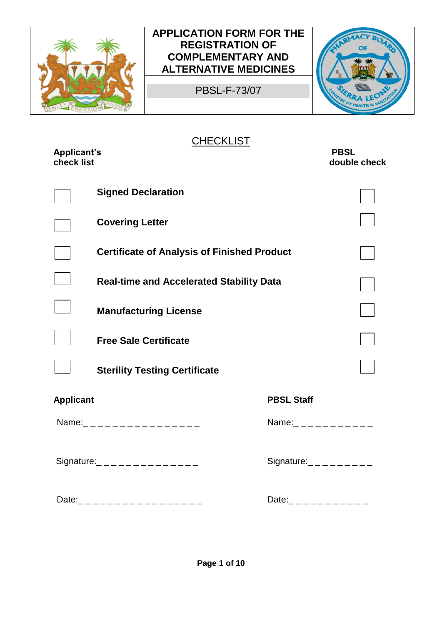

PBSL-F-73/07



**CHECKLIST** 

| <b>Applicant's</b><br>check list |                                                    |                             | <b>PBSL</b><br>double check |
|----------------------------------|----------------------------------------------------|-----------------------------|-----------------------------|
|                                  | <b>Signed Declaration</b>                          |                             |                             |
|                                  | <b>Covering Letter</b>                             |                             |                             |
|                                  | <b>Certificate of Analysis of Finished Product</b> |                             |                             |
|                                  | <b>Real-time and Accelerated Stability Data</b>    |                             |                             |
|                                  | <b>Manufacturing License</b>                       |                             |                             |
|                                  | <b>Free Sale Certificate</b>                       |                             |                             |
|                                  | <b>Sterility Testing Certificate</b>               |                             |                             |
| <b>Applicant</b>                 |                                                    | <b>PBSL Staff</b>           |                             |
|                                  | Name:__________________                            | Name:<br>$-$ --------       |                             |
|                                  | Signature: _ _ _ _ _ _ _ _ _ _ _ _ _ _             | Signature:<br>$       -$    |                             |
|                                  | Date:___________________                           | Date: _ _ _ _ _ _ _ _ _ _ _ |                             |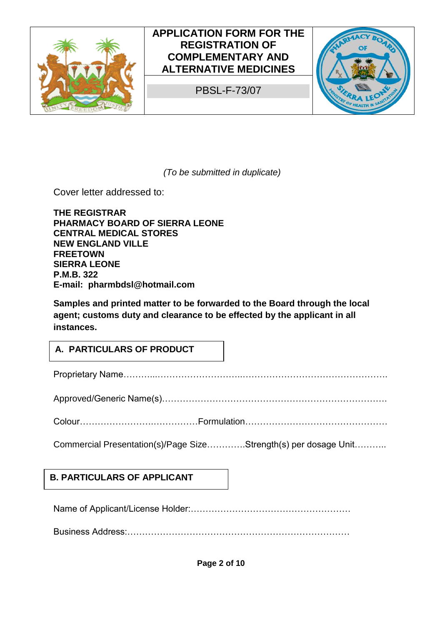

PBSL-F-73/07



*(To be submitted in duplicate)* 

Cover letter addressed to:

**THE REGISTRAR PHARMACY BOARD OF SIERRA LEONE CENTRAL MEDICAL STORES NEW ENGLAND VILLE FREETOWN SIERRA LEONE P.M.B. 322 E-mail: pharmbdsl@hotmail.com**

**Samples and printed matter to be forwarded to the Board through the local agent; customs duty and clearance to be effected by the applicant in all instances.** 

#### **A. PARTICULARS OF PRODUCT**

Proprietary Name………...………………………..………………………………………….

Approved/Generic Name(s)………………………………………………………………….

Colour…………………….……………Formulation…………………………………………

Commercial Presentation(s)/Page Size………….Strength(s) per dosage Unit………..

#### **B. PARTICULARS OF APPLICANT**

Name of Applicant/License Holder:………………………………………………

Business Address:…………………………………………………………………

**Page 2 of 10**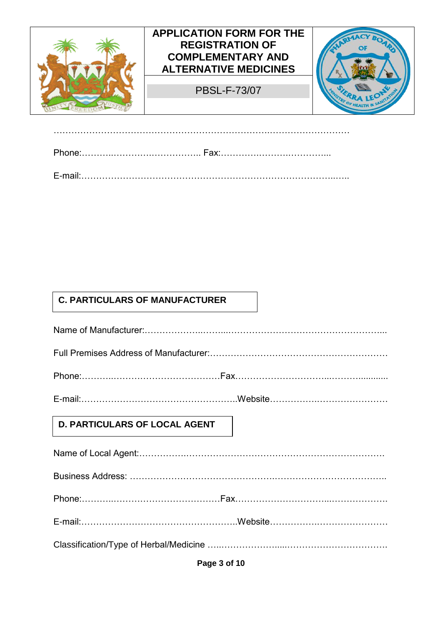

……………………………………………………………….………………………

# **C. PARTICULARS OF MANUFACTURER**

| D. PARTICULARS OF LOCAL AGENT |  |
|-------------------------------|--|
|                               |  |
|                               |  |
|                               |  |
|                               |  |
|                               |  |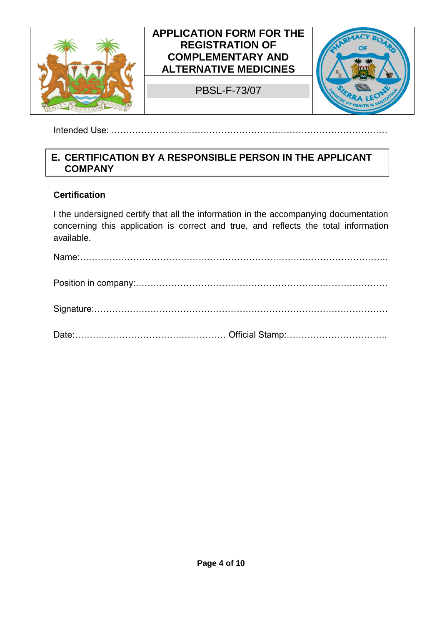

Intended Use: …………………………………………………………………………………

#### **E. CERTIFICATION BY A RESPONSIBLE PERSON IN THE APPLICANT COMPANY**

#### **Certification**

I the undersigned certify that all the information in the accompanying documentation concerning this application is correct and true, and reflects the total information available.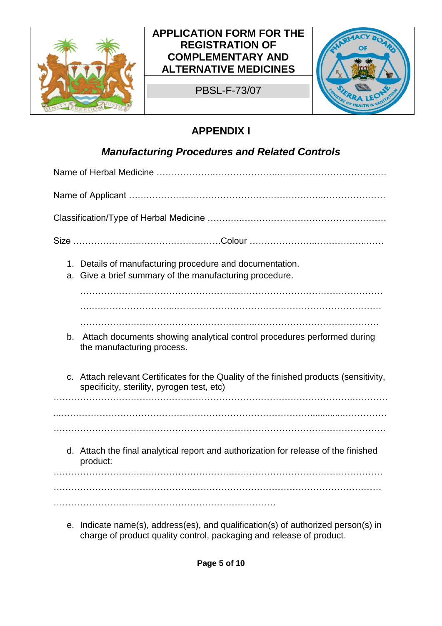

PBSL-F-73/07



# **APPENDIX I**

# *Manufacturing Procedures and Related Controls*

| a. | 1. Details of manufacturing procedure and documentation.<br>Give a brief summary of the manufacturing procedure.                     |  |  |
|----|--------------------------------------------------------------------------------------------------------------------------------------|--|--|
|    |                                                                                                                                      |  |  |
| b. | Attach documents showing analytical control procedures performed during<br>the manufacturing process.                                |  |  |
|    | c. Attach relevant Certificates for the Quality of the finished products (sensitivity,<br>specificity, sterility, pyrogen test, etc) |  |  |
|    |                                                                                                                                      |  |  |
|    | d. Attach the final analytical report and authorization for release of the finished<br>product:                                      |  |  |
|    |                                                                                                                                      |  |  |
|    |                                                                                                                                      |  |  |

e. Indicate name(s), address(es), and qualification(s) of authorized person(s) in charge of product quality control, packaging and release of product.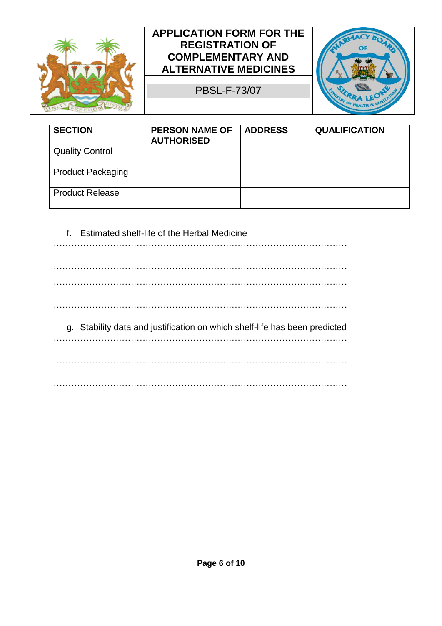

PBSL-F-73/07



| <b>SECTION</b>           | <b>PERSON NAME OF</b><br><b>AUTHORISED</b> | <b>ADDRESS</b> | <b>QUALIFICATION</b> |
|--------------------------|--------------------------------------------|----------------|----------------------|
| <b>Quality Control</b>   |                                            |                |                      |
| <b>Product Packaging</b> |                                            |                |                      |
| <b>Product Release</b>   |                                            |                |                      |

#### f. Estimated shelf-life of the Herbal Medicine

| g. Stability data and justification on which shelf-life has been predicted |  |
|----------------------------------------------------------------------------|--|
| .                                                                          |  |
|                                                                            |  |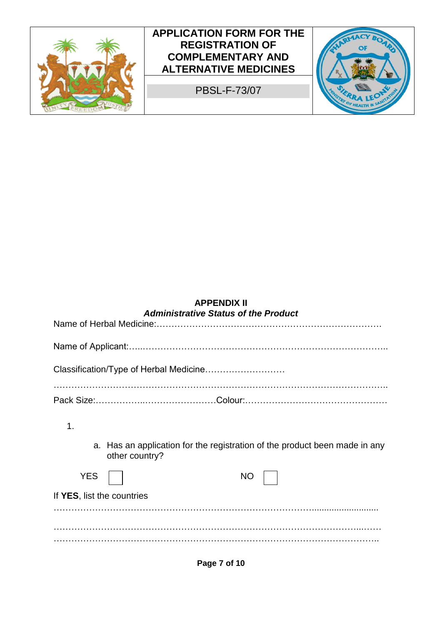

#### **APPENDIX II**  *Administrative Status of the Product*

| 1.                         |                                                                                              |
|----------------------------|----------------------------------------------------------------------------------------------|
|                            | a. Has an application for the registration of the product been made in any<br>other country? |
| <b>YES</b>                 | <b>NO</b>                                                                                    |
| If YES, list the countries |                                                                                              |
|                            |                                                                                              |
|                            |                                                                                              |
|                            |                                                                                              |

**Page 7 of 10**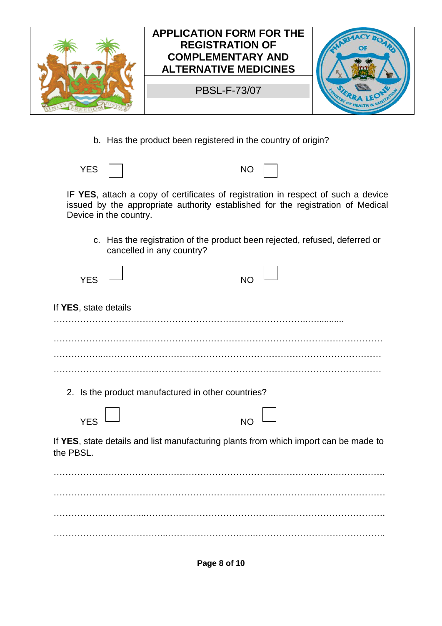

b. Has the product been registered in the country of origin?

YES NO

IF **YES**, attach a copy of certificates of registration in respect of such a device issued by the appropriate authority established for the registration of Medical Device in the country.

c. Has the registration of the product been rejected, refused, deferred or cancelled in any country?

| <b>YES</b>            |                                                    | NO                                                                                   |
|-----------------------|----------------------------------------------------|--------------------------------------------------------------------------------------|
| If YES, state details |                                                    |                                                                                      |
|                       |                                                    |                                                                                      |
|                       |                                                    |                                                                                      |
|                       | 2. Is the product manufactured in other countries? |                                                                                      |
| <b>YES</b>            |                                                    | <b>NO</b>                                                                            |
| the PBSL.             |                                                    | If YES, state details and list manufacturing plants from which import can be made to |
|                       |                                                    |                                                                                      |
|                       |                                                    |                                                                                      |
|                       |                                                    |                                                                                      |

**Page 8 of 10**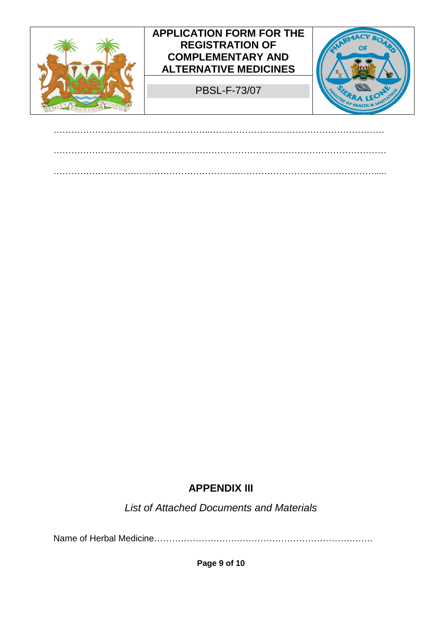

……………………………………………..…….…………………………………………….

# **APPENDIX III**

*List of Attached Documents and Materials* 

Name of Herbal Medicine……………………….……………………………………….

**Page 9 of 10**